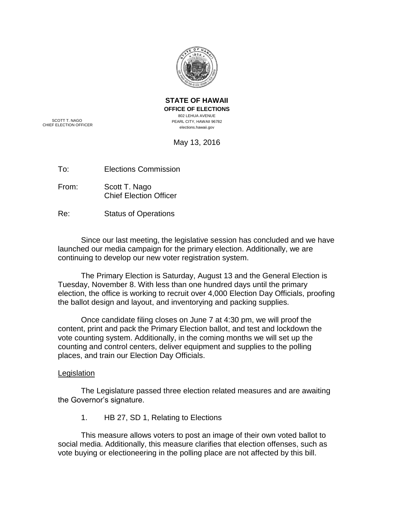

**STATE OF HAWAII OFFICE OF ELECTIONS** 802 LEHUA AVENUE PEARL CITY, HAWAII 96782 elections.hawaii.gov

SCOTT T. NAGO CHIEF ELECTION OFFICER

May 13, 2016

To: Elections Commission

From: Scott T. Nago Chief Election Officer

Re: Status of Operations

Since our last meeting, the legislative session has concluded and we have launched our media campaign for the primary election. Additionally, we are continuing to develop our new voter registration system.

The Primary Election is Saturday, August 13 and the General Election is Tuesday, November 8. With less than one hundred days until the primary election, the office is working to recruit over 4,000 Election Day Officials, proofing the ballot design and layout, and inventorying and packing supplies.

Once candidate filing closes on June 7 at 4:30 pm, we will proof the content, print and pack the Primary Election ballot, and test and lockdown the vote counting system. Additionally, in the coming months we will set up the counting and control centers, deliver equipment and supplies to the polling places, and train our Election Day Officials.

# Legislation

The Legislature passed three election related measures and are awaiting the Governor's signature.

1. HB 27, SD 1, Relating to Elections

This measure allows voters to post an image of their own voted ballot to social media. Additionally, this measure clarifies that election offenses, such as vote buying or electioneering in the polling place are not affected by this bill.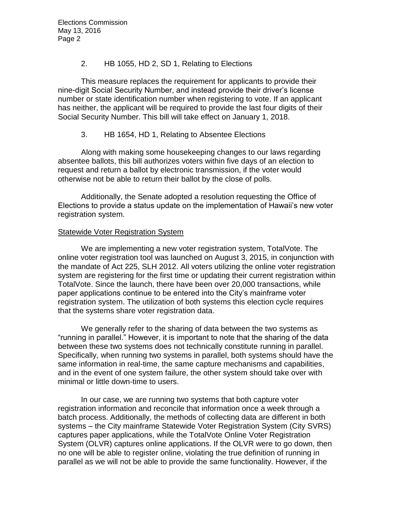Elections Commission May 13, 2016 Page 2

## 2. HB 1055, HD 2, SD 1, Relating to Elections

This measure replaces the requirement for applicants to provide their nine-digit Social Security Number, and instead provide their driver's license number or state identification number when registering to vote. If an applicant has neither, the applicant will be required to provide the last four digits of their Social Security Number. This bill will take effect on January 1, 2018.

#### 3. HB 1654, HD 1, Relating to Absentee Elections

Along with making some housekeeping changes to our laws regarding absentee ballots, this bill authorizes voters within five days of an election to request and return a ballot by electronic transmission, if the voter would otherwise not be able to return their ballot by the close of polls.

Additionally, the Senate adopted a resolution requesting the Office of Elections to provide a status update on the implementation of Hawaii's new voter registration system.

### **Statewide Voter Registration System**

We are implementing a new voter registration system, TotalVote. The online voter registration tool was launched on August 3, 2015, in conjunction with the mandate of Act 225, SLH 2012. All voters utilizing the online voter registration system are registering for the first time or updating their current registration within TotalVote. Since the launch, there have been over 20,000 transactions, while paper applications continue to be entered into the City's mainframe voter registration system. The utilization of both systems this election cycle requires that the systems share voter registration data.

We generally refer to the sharing of data between the two systems as "running in parallel." However, it is important to note that the sharing of the data between these two systems does not technically constitute running in parallel. Specifically, when running two systems in parallel, both systems should have the same information in real-time, the same capture mechanisms and capabilities, and in the event of one system failure, the other system should take over with minimal or little down-time to users.

In our case, we are running two systems that both capture voter registration information and reconcile that information once a week through a batch process. Additionally, the methods of collecting data are different in both systems – the City mainframe Statewide Voter Registration System (City SVRS) captures paper applications, while the TotalVote Online Voter Registration System (OLVR) captures online applications. If the OLVR were to go down, then no one will be able to register online, violating the true definition of running in parallel as we will not be able to provide the same functionality. However, if the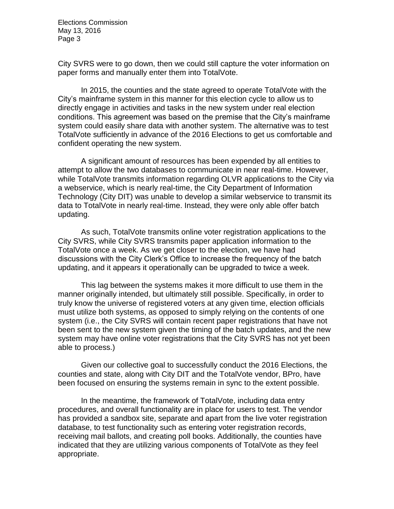Elections Commission May 13, 2016 Page 3

City SVRS were to go down, then we could still capture the voter information on paper forms and manually enter them into TotalVote.

In 2015, the counties and the state agreed to operate TotalVote with the City's mainframe system in this manner for this election cycle to allow us to directly engage in activities and tasks in the new system under real election conditions. This agreement was based on the premise that the City's mainframe system could easily share data with another system. The alternative was to test TotalVote sufficiently in advance of the 2016 Elections to get us comfortable and confident operating the new system.

A significant amount of resources has been expended by all entities to attempt to allow the two databases to communicate in near real-time. However, while TotalVote transmits information regarding OLVR applications to the City via a webservice, which is nearly real-time, the City Department of Information Technology (City DIT) was unable to develop a similar webservice to transmit its data to TotalVote in nearly real-time. Instead, they were only able offer batch updating.

As such, TotalVote transmits online voter registration applications to the City SVRS, while City SVRS transmits paper application information to the TotalVote once a week. As we get closer to the election, we have had discussions with the City Clerk's Office to increase the frequency of the batch updating, and it appears it operationally can be upgraded to twice a week.

This lag between the systems makes it more difficult to use them in the manner originally intended, but ultimately still possible. Specifically, in order to truly know the universe of registered voters at any given time, election officials must utilize both systems, as opposed to simply relying on the contents of one system (i.e., the City SVRS will contain recent paper registrations that have not been sent to the new system given the timing of the batch updates, and the new system may have online voter registrations that the City SVRS has not yet been able to process.)

Given our collective goal to successfully conduct the 2016 Elections, the counties and state, along with City DIT and the TotalVote vendor, BPro, have been focused on ensuring the systems remain in sync to the extent possible.

In the meantime, the framework of TotalVote, including data entry procedures, and overall functionality are in place for users to test. The vendor has provided a sandbox site, separate and apart from the live voter registration database, to test functionality such as entering voter registration records, receiving mail ballots, and creating poll books. Additionally, the counties have indicated that they are utilizing various components of TotalVote as they feel appropriate.